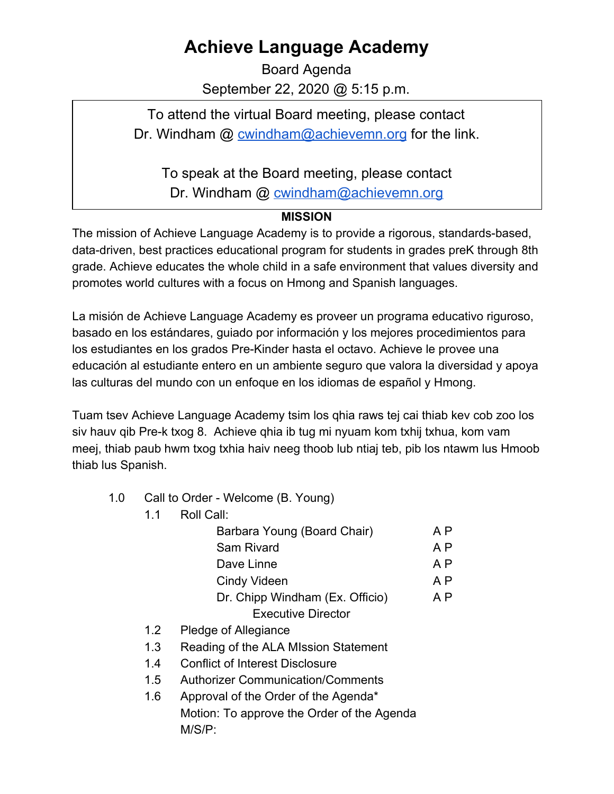## **Achieve Language Academy**

Board Agenda September 22, 2020 @ 5:15 p.m.

To attend the virtual Board meeting, please contact Dr. Windham  $\omega$  cwindham $\omega$  achievemn.org for the link.

To speak at the Board meeting, please contact

Dr. Windham @ [cwindham@achievemn.org](mailto:cwindham@achievemn.org)

## **MISSION**

The mission of Achieve Language Academy is to provide a rigorous, standards-based, data-driven, best practices educational program for students in grades preK through 8th grade. Achieve educates the whole child in a safe environment that values diversity and promotes world cultures with a focus on Hmong and Spanish languages.

La misión de Achieve Language Academy es proveer un programa educativo riguroso, basado en los estándares, guiado por información y los mejores procedimientos para los estudiantes en los grados Pre-Kinder hasta el octavo. Achieve le provee una educación al estudiante entero en un ambiente seguro que valora la diversidad y apoya las culturas del mundo con un enfoque en los idiomas de español y Hmong.

Tuam tsev Achieve Language Academy tsim los qhia raws tej cai thiab kev cob zoo los siv hauv qib Pre-k txog 8. Achieve qhia ib tug mi nyuam kom txhij txhua, kom vam meej, thiab paub hwm txog txhia haiv neeg thoob lub ntiaj teb, pib los ntawm lus Hmoob thiab lus Spanish.

- 1.0 Call to Order Welcome (B. Young)
	- 1.1 Roll Call:

| Barbara Young (Board Chair)     | A P |
|---------------------------------|-----|
| Sam Rivard                      | A P |
| Dave Linne                      | A P |
| <b>Cindy Videen</b>             | A P |
| Dr. Chipp Windham (Ex. Officio) | A P |
| <b>Executive Director</b>       |     |

- 1.2 Pledge of Allegiance
- 1.3 Reading of the ALA MIssion Statement
- 1.4 Conflict of Interest Disclosure
- 1.5 Authorizer Communication/Comments
- 1.6 Approval of the Order of the Agenda\* Motion: To approve the Order of the Agenda M/S/P: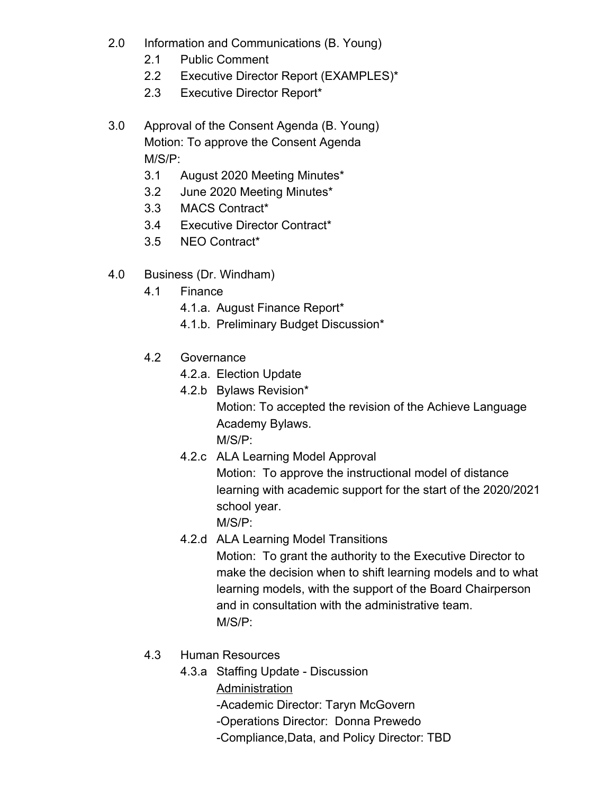- 2.0 Information and Communications (B. Young)
	- 2.1 Public Comment
	- 2.2 Executive Director Report (EXAMPLES)\*
	- 2.3 Executive Director Report\*
- 3.0 Approval of the Consent Agenda (B. Young) Motion: To approve the Consent Agenda M/S/P:
	- 3.1 August 2020 Meeting Minutes\*
	- 3.2 June 2020 Meeting Minutes\*
	- 3.3 MACS Contract\*
	- 3.4 Executive Director Contract\*
	- 3.5 NEO Contract\*
- 4.0 Business (Dr. Windham)
	- 4.1 Finance
		- 4.1.a. August Finance Report\*
		- 4.1.b. Preliminary Budget Discussion\*
	- 4.2 Governance
		- 4.2.a. Election Update
		- 4.2.b Bylaws Revision\* Motion: To accepted the revision of the Achieve Language Academy Bylaws. M/S/P:
		- 4.2.c ALA Learning Model Approval Motion: To approve the instructional model of distance learning with academic support for the start of the 2020/2021 school year. M/S/P:
		- 4.2.d ALA Learning Model Transitions Motion: To grant the authority to the Executive Director to make the decision when to shift learning models and to what learning models, with the support of the Board Chairperson and in consultation with the administrative team. M/S/P:
	- 4.3 Human Resources
		- 4.3.a Staffing Update Discussion
			- **Administration** 
				- -Academic Director: Taryn McGovern
				- -Operations Director: Donna Prewedo
				- -Compliance,Data, and Policy Director: TBD